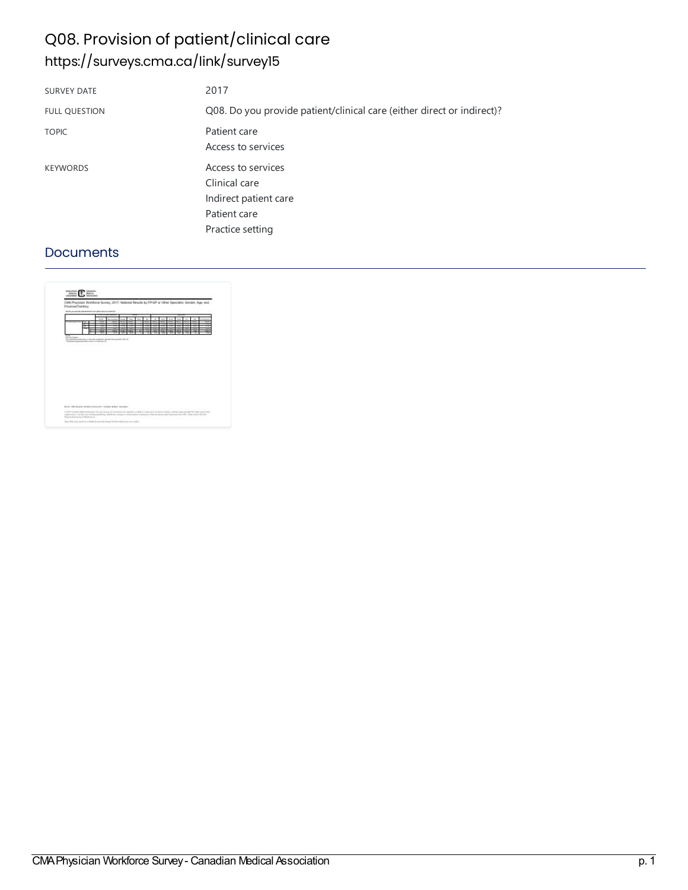# Q08. Provision of patient/clinical care <https://surveys.cma.ca/link/survey15>

| <b>SURVEY DATE</b>   | 2017                                                                                             |
|----------------------|--------------------------------------------------------------------------------------------------|
| <b>FULL QUESTION</b> | Q08. Do you provide patient/clinical care (either direct or indirect)?                           |
| <b>TOPIC</b>         | Patient care<br>Access to services                                                               |
| <b>KEYWORDS</b>      | Access to services<br>Clinical care<br>Indirect patient care<br>Patient care<br>Practice setting |

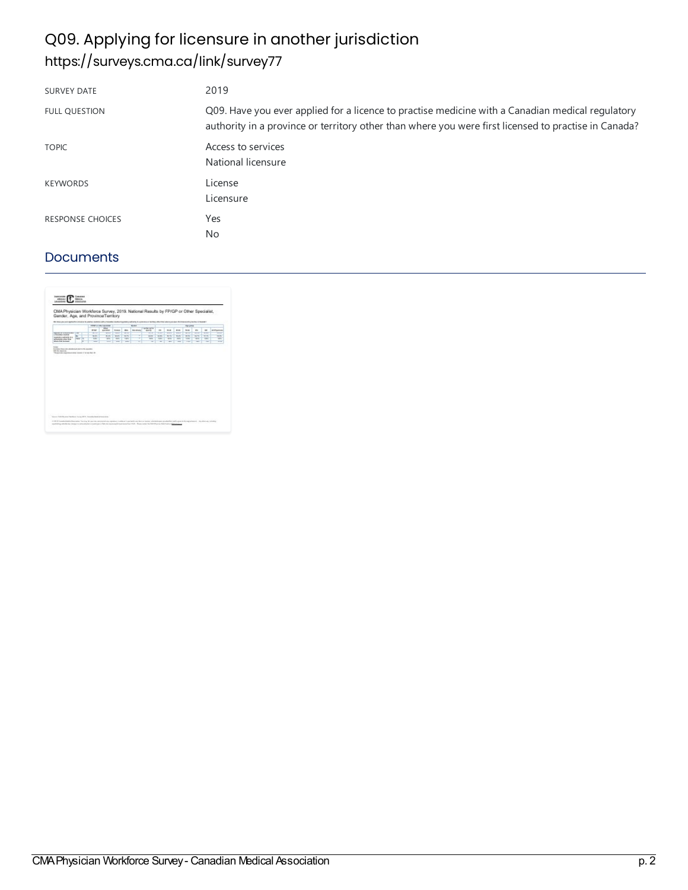# Q09. Applying for licensure in another jurisdiction <https://surveys.cma.ca/link/survey77>

| <b>SURVEY DATE</b>      | 2019                                                                                                                                                                                                     |
|-------------------------|----------------------------------------------------------------------------------------------------------------------------------------------------------------------------------------------------------|
| <b>FULL OUESTION</b>    | Q09. Have you ever applied for a licence to practise medicine with a Canadian medical regulatory<br>authority in a province or territory other than where you were first licensed to practise in Canada? |
| <b>TOPIC</b>            | Access to services<br>National licensure                                                                                                                                                                 |
| <b>KEYWORDS</b>         | License<br>Licensure                                                                                                                                                                                     |
| <b>RESPONSE CHOICES</b> | Yes<br><b>No</b>                                                                                                                                                                                         |

| 55 Status Avenue Modello Classica N.A.Willia Additional Confederation of Additional Constitution of Activities of Million Advertised Activities and Activities of Company of Activities |             |   |                      |                                                    |                 |                          |                    |                   |                        |             |                          |                  |                              |                            |                        |
|-----------------------------------------------------------------------------------------------------------------------------------------------------------------------------------------|-------------|---|----------------------|----------------------------------------------------|-----------------|--------------------------|--------------------|-------------------|------------------------|-------------|--------------------------|------------------|------------------------------|----------------------------|------------------------|
|                                                                                                                                                                                         |             |   |                      | <b>COMPANY</b> or collect an animate<br><b>ice</b> |                 |                          | <b>Service</b>     | Lander and Ar-    |                        |             |                          | Aproved          |                              |                            |                        |
|                                                                                                                                                                                         |             |   | <b>Array</b>         | <b>KINDING</b>                                     | <b>SIGHT</b>    | m.                       | <b>Talk Allane</b> | <b>GALLEY</b>     | $\sim$                 | <b>MAGE</b> | <b>PER</b>               | 16.64            | <b>Will</b>                  | $\rightarrow$              | <b><i>RITUATER</i></b> |
| <b>Reference for Security Print</b><br>Literaturnship                                                                                                                                   | THE         |   | <b>ALC UNIT</b><br>W | <b>SOLU</b><br><b>WORK</b>                         | w<br><b>BOX</b> | <b>SCO</b><br><b>SOF</b> | ÷                  | ww<br><b>Wind</b> | <b>SING</b><br>Tal Mit | m<br>K.V    | <b>WIN</b><br><b>KLA</b> | ww<br><b>WAY</b> | <b>Winter</b><br><b>King</b> | <b>STAR</b><br><b>KITA</b> | <b>Service</b><br>350  |
| <b>Subdivision Prints II</b> &<br>pleasance after the                                                                                                                                   | <b>Note</b> | × | <b>Tal</b>           | w                                                  | <b>TOP</b>      | <b>Tark</b>              | v                  | w                 | Tark                   | <b>SK</b>   | <b>Karl</b>              | <b>TIM</b>       | w.                           | <b>Tary</b>                | $\frac{1}{2}$          |
| <b>Aftern from fourmeed</b>                                                                                                                                                             |             |   | win                  | -                                                  | <b>Since</b>    | w                        | w                  | ÷                 | w                      | -           | ÷                        | <b>TEN</b>       | <b>Service</b>               | w                          | <b>VIII</b>            |
|                                                                                                                                                                                         |             |   |                      |                                                    |                 |                          |                    |                   |                        |             |                          |                  |                              |                            |                        |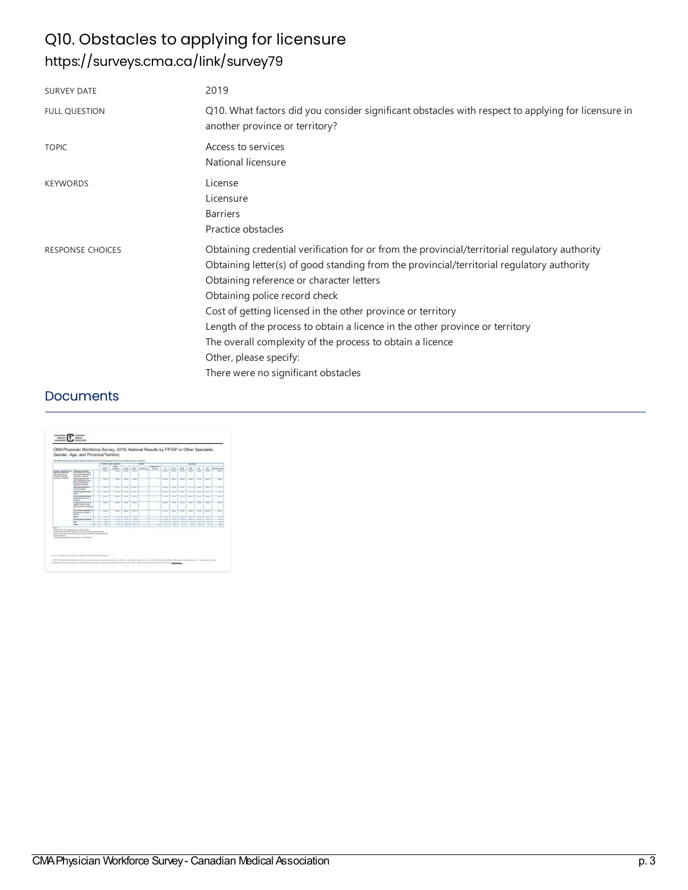# Q10. Obstacles to applying for licensure <https://surveys.cma.ca/link/survey79>

| <b>SURVEY DATE</b>      | 2019                                                                                                                                                                                                                                                                                                                                                                                                                                                                                                                                                 |
|-------------------------|------------------------------------------------------------------------------------------------------------------------------------------------------------------------------------------------------------------------------------------------------------------------------------------------------------------------------------------------------------------------------------------------------------------------------------------------------------------------------------------------------------------------------------------------------|
| <b>FULL QUESTION</b>    | Q10. What factors did you consider significant obstacles with respect to applying for licensure in<br>another province or territory?                                                                                                                                                                                                                                                                                                                                                                                                                 |
| <b>TOPIC</b>            | Access to services<br>National licensure                                                                                                                                                                                                                                                                                                                                                                                                                                                                                                             |
| <b>KEYWORDS</b>         | License<br>Licensure<br><b>Barriers</b><br>Practice obstacles                                                                                                                                                                                                                                                                                                                                                                                                                                                                                        |
| <b>RESPONSE CHOICES</b> | Obtaining credential verification for or from the provincial/territorial regulatory authority<br>Obtaining letter(s) of good standing from the provincial/territorial regulatory authority<br>Obtaining reference or character letters<br>Obtaining police record check<br>Cost of getting licensed in the other province or territory<br>Length of the process to obtain a licence in the other province or territory<br>The overall complexity of the process to obtain a licence<br>Other, please specify:<br>There were no significant obstacles |

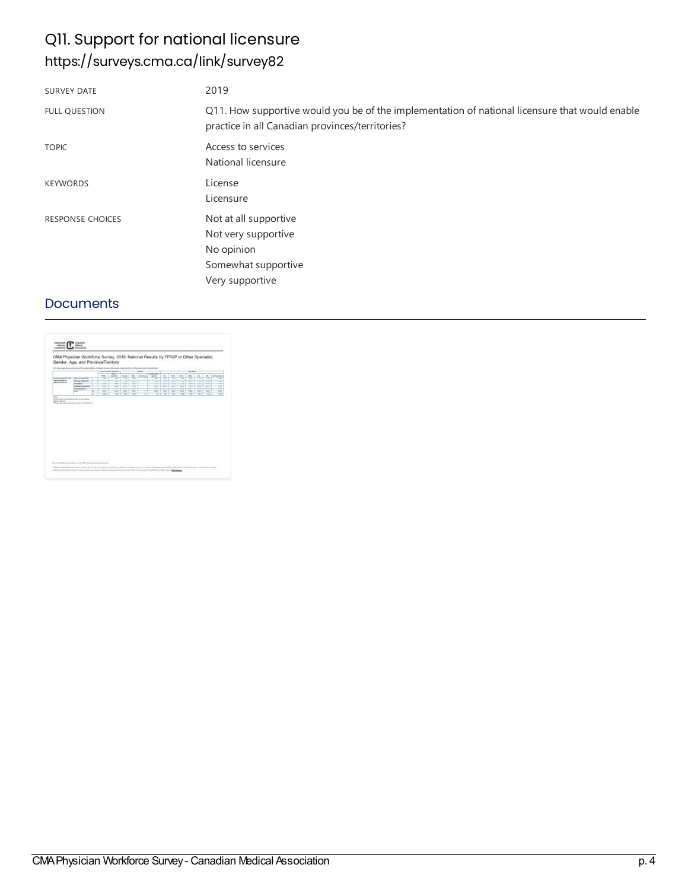## Q11. Support for national licensure <https://surveys.cma.ca/link/survey82>

| <b>SURVEY DATE</b>      | 2019                                                                                                                                              |
|-------------------------|---------------------------------------------------------------------------------------------------------------------------------------------------|
| <b>FULL QUESTION</b>    | Q11. How supportive would you be of the implementation of national licensure that would enable<br>practice in all Canadian provinces/territories? |
| <b>TOPIC</b>            | Access to services<br>National licensure                                                                                                          |
| <b>KEYWORDS</b>         | License<br>Licensure                                                                                                                              |
| <b>RESPONSE CHOICES</b> | Not at all supportive<br>Not very supportive<br>No opinion<br>Somewhat supportive<br>Very supportive                                              |

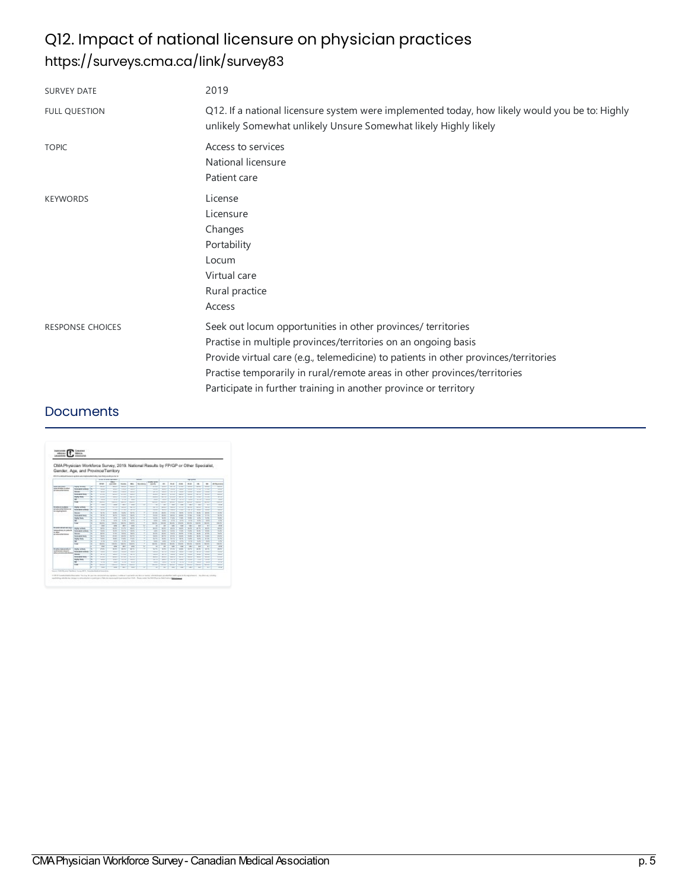# Q12. Impact of national licensure on physician practices <https://surveys.cma.ca/link/survey83>

| <b>SURVEY DATE</b>      | 2019                                                                                                                                                                                                                                                                                                                                                                    |
|-------------------------|-------------------------------------------------------------------------------------------------------------------------------------------------------------------------------------------------------------------------------------------------------------------------------------------------------------------------------------------------------------------------|
| <b>FULL QUESTION</b>    | Q12. If a national licensure system were implemented today, how likely would you be to: Highly<br>unlikely Somewhat unlikely Unsure Somewhat likely Highly likely                                                                                                                                                                                                       |
| <b>TOPIC</b>            | Access to services<br>National licensure<br>Patient care                                                                                                                                                                                                                                                                                                                |
| <b>KEYWORDS</b>         | License<br>Licensure<br>Changes<br>Portability<br>Locum<br>Virtual care<br>Rural practice<br>Access                                                                                                                                                                                                                                                                     |
| <b>RESPONSE CHOICES</b> | Seek out locum opportunities in other provinces/ territories<br>Practise in multiple provinces/territories on an ongoing basis<br>Provide virtual care (e.g., telemedicine) to patients in other provinces/territories<br>Practise temporarily in rural/remote areas in other provinces/territories<br>Participate in further training in another province or territory |

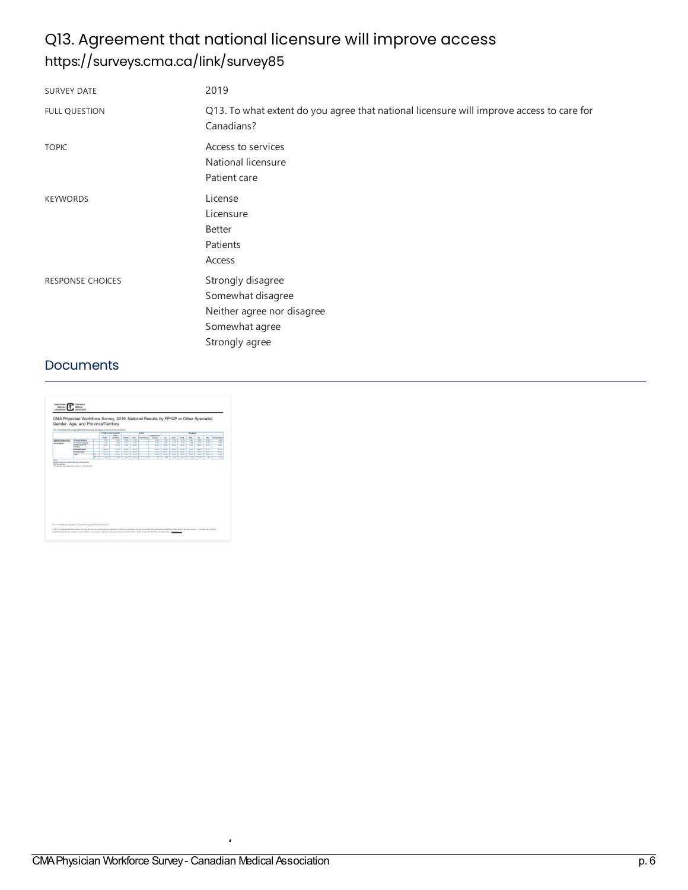# Q13. Agreement that national licensure will improve access <https://surveys.cma.ca/link/survey85>

| <b>SURVEY DATE</b>      | 2019                                                                                                     |
|-------------------------|----------------------------------------------------------------------------------------------------------|
| <b>FULL QUESTION</b>    | Q13. To what extent do you agree that national licensure will improve access to care for<br>Canadians?   |
| <b>TOPIC</b>            | Access to services<br>National licensure<br>Patient care                                                 |
| <b>KEYWORDS</b>         | License<br>Licensure<br>Better<br>Patients<br>Access                                                     |
| <b>RESPONSE CHOICES</b> | Strongly disagree<br>Somewhat disagree<br>Neither agree nor disagree<br>Somewhat agree<br>Strongly agree |

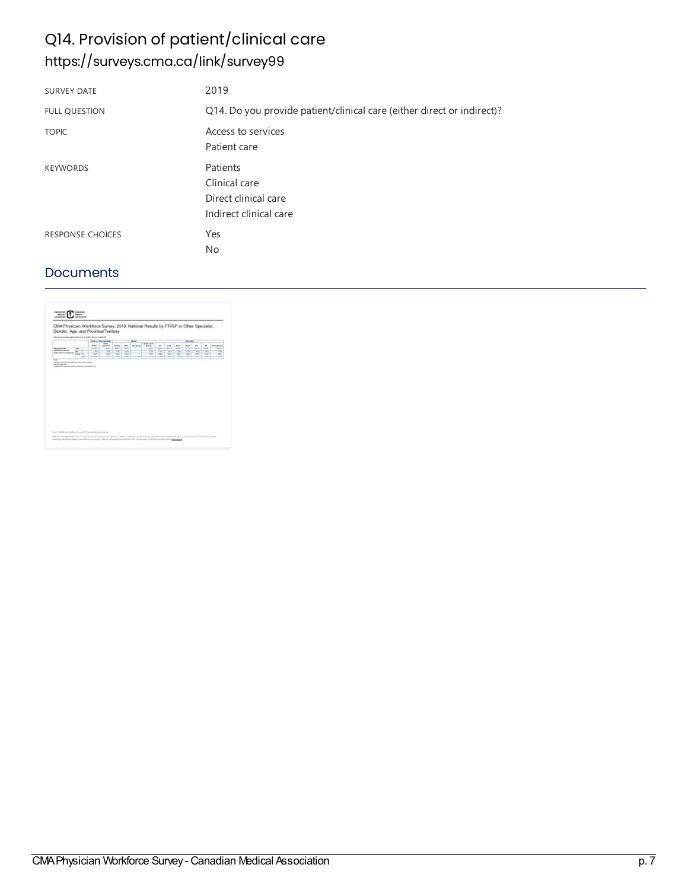# Q14. Provision of patient/clinical care <https://surveys.cma.ca/link/survey99>

| <b>SURVEY DATE</b>   | 2019                                                                        |
|----------------------|-----------------------------------------------------------------------------|
| <b>FULL QUESTION</b> | Q14. Do you provide patient/clinical care (either direct or indirect)?      |
| <b>TOPIC</b>         | Access to services<br>Patient care                                          |
| <b>KEYWORDS</b>      | Patients<br>Clinical care<br>Direct clinical care<br>Indirect clinical care |
| RESPONSE CHOICES     | Yes<br>No                                                                   |

| \$10. \$1 an except the particular field and faithful detail to the field of<br><b>Deadle</b><br><b>STAT &amp; ONE ALCOHOL</b><br>Aproved<br>I professional as<br><b>ice</b><br><b><i><u>braz</u></i></b><br><b>SIGHT</b><br>m.<br><b>Talk Allan</b><br><b>But</b><br><b>POR</b><br>10.64<br>es.<br>$\rightarrow$<br><b>KINDING</b><br>$\blacksquare$<br><b>RITUAISE</b><br><b>GALLEY</b><br>w<br>ww<br><b>STATE</b><br><b>SILLER</b><br><b>SERVICE</b><br>win<br>w<br>virus<br><b>SILVER</b><br>ww<br><b>SILVER</b><br><b>Since</b><br><b>NO WAS ENTERT</b><br>×<br><b>ANGERS IN A 1979</b><br>THE<br>28<br><b>YR</b><br>÷<br><b>TR</b><br><b>DN</b><br>28<br>TIK<br><b>TIK</b><br><b>THE</b><br><b>YFC</b><br><b>TR</b><br>w<br>Salturi di la fostivitazioni di<br>v<br><b>Note</b><br><b>TOK</b><br>W.<br><b>MK</b><br><b>TIK</b><br>wi<br><b>VAN</b><br>$\frac{1}{2}$<br><b>TOK</b><br>TMT.<br>w<br><b>CIFS</b><br><b>Link</b><br>×<br>w<br>w<br>$\sim$<br>$\sim$<br>w<br>÷<br>$\sim$<br><b>TEN</b><br>w<br><b>STAR</b><br>w<br>÷<br>wy<br>war<br>fluidad from shi-dock-had attribute-garder<br><b>SETA MALA</b><br>"Therefore commencing source trip are the fit |  |  | Gender, Age, and Province/Territory |  |  |  |  |  |  |
|-----------------------------------------------------------------------------------------------------------------------------------------------------------------------------------------------------------------------------------------------------------------------------------------------------------------------------------------------------------------------------------------------------------------------------------------------------------------------------------------------------------------------------------------------------------------------------------------------------------------------------------------------------------------------------------------------------------------------------------------------------------------------------------------------------------------------------------------------------------------------------------------------------------------------------------------------------------------------------------------------------------------------------------------------------------------------------------------------------------------------------------------------------------------------|--|--|-------------------------------------|--|--|--|--|--|--|
|                                                                                                                                                                                                                                                                                                                                                                                                                                                                                                                                                                                                                                                                                                                                                                                                                                                                                                                                                                                                                                                                                                                                                                       |  |  |                                     |  |  |  |  |  |  |
|                                                                                                                                                                                                                                                                                                                                                                                                                                                                                                                                                                                                                                                                                                                                                                                                                                                                                                                                                                                                                                                                                                                                                                       |  |  |                                     |  |  |  |  |  |  |
|                                                                                                                                                                                                                                                                                                                                                                                                                                                                                                                                                                                                                                                                                                                                                                                                                                                                                                                                                                                                                                                                                                                                                                       |  |  |                                     |  |  |  |  |  |  |
|                                                                                                                                                                                                                                                                                                                                                                                                                                                                                                                                                                                                                                                                                                                                                                                                                                                                                                                                                                                                                                                                                                                                                                       |  |  |                                     |  |  |  |  |  |  |
|                                                                                                                                                                                                                                                                                                                                                                                                                                                                                                                                                                                                                                                                                                                                                                                                                                                                                                                                                                                                                                                                                                                                                                       |  |  |                                     |  |  |  |  |  |  |
|                                                                                                                                                                                                                                                                                                                                                                                                                                                                                                                                                                                                                                                                                                                                                                                                                                                                                                                                                                                                                                                                                                                                                                       |  |  |                                     |  |  |  |  |  |  |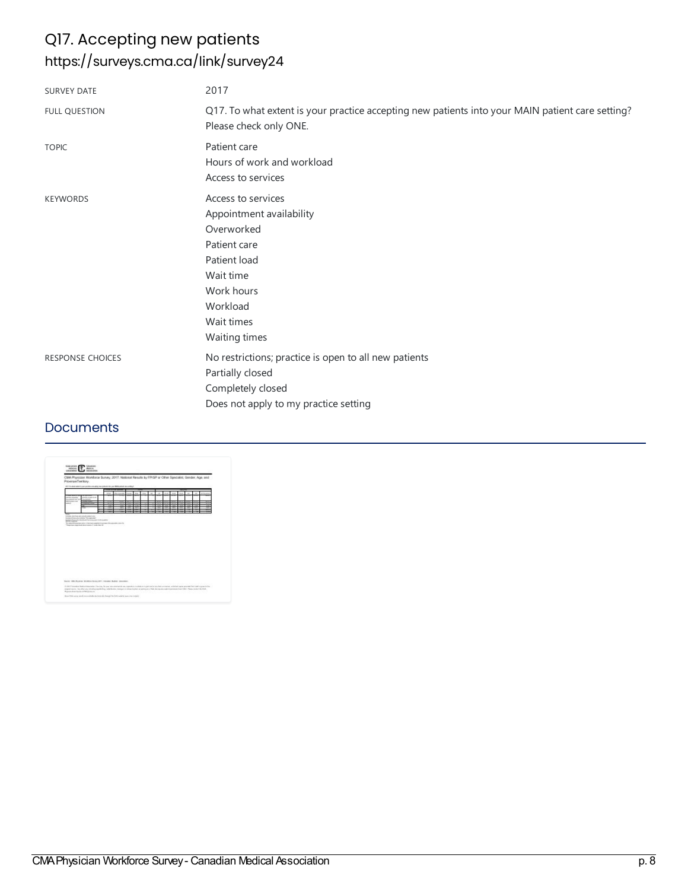# Q17. Accepting new patients <https://surveys.cma.ca/link/survey24>

| <b>SURVEY DATE</b>      | 2017                                                                                                                                                               |
|-------------------------|--------------------------------------------------------------------------------------------------------------------------------------------------------------------|
| <b>FULL QUESTION</b>    | Q17. To what extent is your practice accepting new patients into your MAIN patient care setting?<br>Please check only ONE.                                         |
| <b>TOPIC</b>            | Patient care<br>Hours of work and workload<br>Access to services                                                                                                   |
| <b>KEYWORDS</b>         | Access to services<br>Appointment availability<br>Overworked<br>Patient care<br>Patient load<br>Wait time<br>Work hours<br>Workload<br>Wait times<br>Waiting times |
| <b>RESPONSE CHOICES</b> | No restrictions; practice is open to all new patients<br>Partially closed<br>Completely closed<br>Does not apply to my practice setting                            |

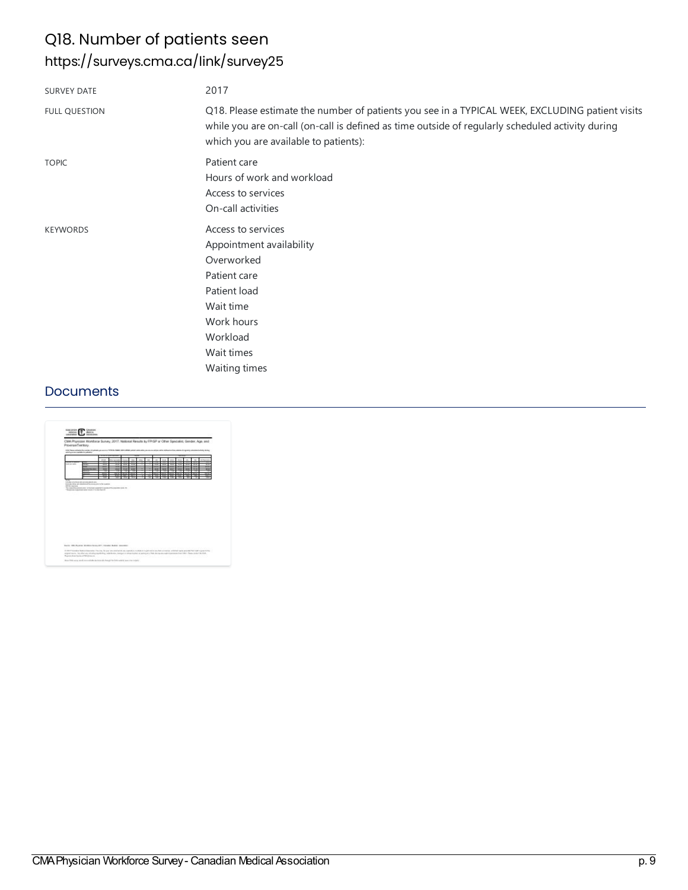# Q18. Number of patients seen <https://surveys.cma.ca/link/survey25>

| <b>SURVEY DATE</b>   | 2017                                                                                                                                                                                                                                         |
|----------------------|----------------------------------------------------------------------------------------------------------------------------------------------------------------------------------------------------------------------------------------------|
| <b>FULL QUESTION</b> | Q18. Please estimate the number of patients you see in a TYPICAL WEEK, EXCLUDING patient visits<br>while you are on-call (on-call is defined as time outside of regularly scheduled activity during<br>which you are available to patients): |
| <b>TOPIC</b>         | Patient care<br>Hours of work and workload<br>Access to services<br>On-call activities                                                                                                                                                       |
| <b>KEYWORDS</b>      | Access to services<br>Appointment availability<br>Overworked<br>Patient care<br>Patient load<br>Wait time<br>Work hours<br>Workload<br>Wait times<br>Waiting times                                                                           |

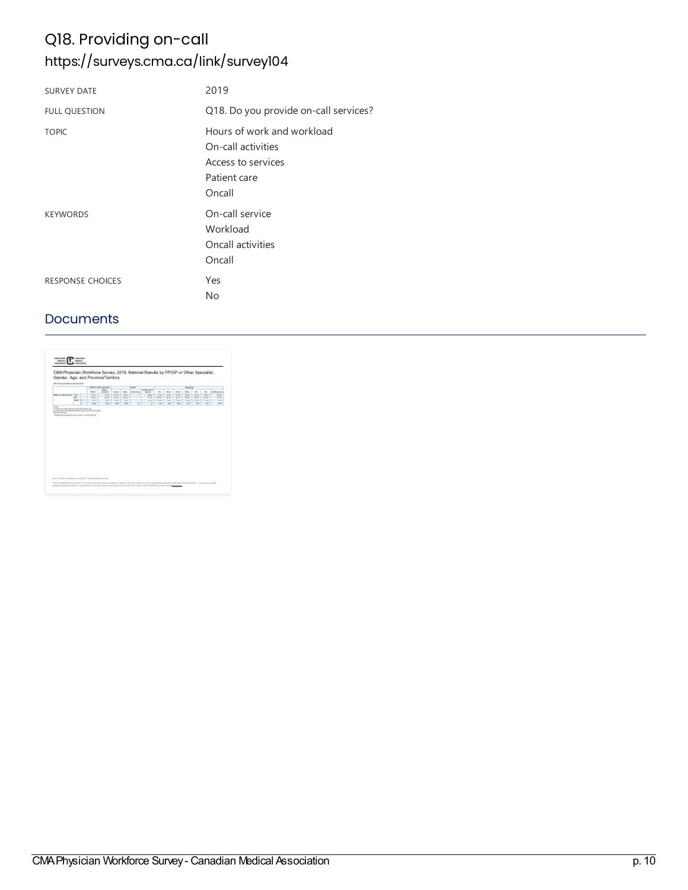# Q18. Providing on-call <https://surveys.cma.ca/link/survey104>

| <b>SURVEY DATE</b>      | 2019                                                                                             |
|-------------------------|--------------------------------------------------------------------------------------------------|
| <b>FULL QUESTION</b>    | Q18. Do you provide on-call services?                                                            |
| <b>TOPIC</b>            | Hours of work and workload<br>On-call activities<br>Access to services<br>Patient care<br>Oncall |
| <b>KEYWORDS</b>         | On-call service<br>Workload<br>Oncall activities<br>Oncall                                       |
| <b>RESPONSE CHOICES</b> | Yes<br>No                                                                                        |

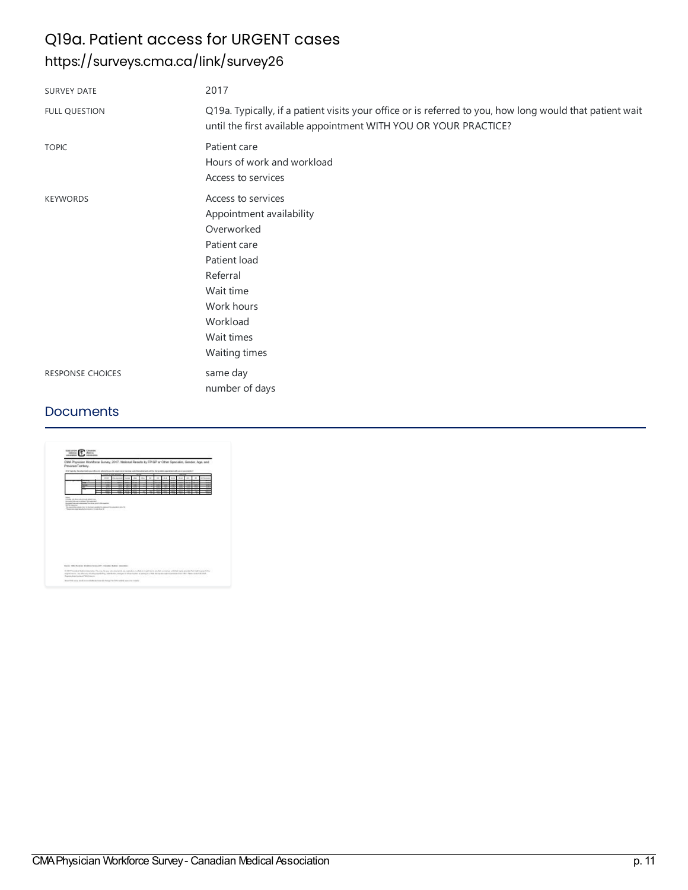## Q19a. Patient access for URGENT cases <https://surveys.cma.ca/link/survey26>

| <b>SURVEY DATE</b>      | 2017                                                                                                                                                                           |
|-------------------------|--------------------------------------------------------------------------------------------------------------------------------------------------------------------------------|
| <b>FULL QUESTION</b>    | Q19a. Typically, if a patient visits your office or is referred to you, how long would that patient wait<br>until the first available appointment WITH YOU OR YOUR PRACTICE?   |
| <b>TOPIC</b>            | Patient care<br>Hours of work and workload<br>Access to services                                                                                                               |
| <b>KEYWORDS</b>         | Access to services<br>Appointment availability<br>Overworked<br>Patient care<br>Patient load<br>Referral<br>Wait time<br>Work hours<br>Workload<br>Wait times<br>Waiting times |
| <b>RESPONSE CHOICES</b> | same day<br>number of days                                                                                                                                                     |

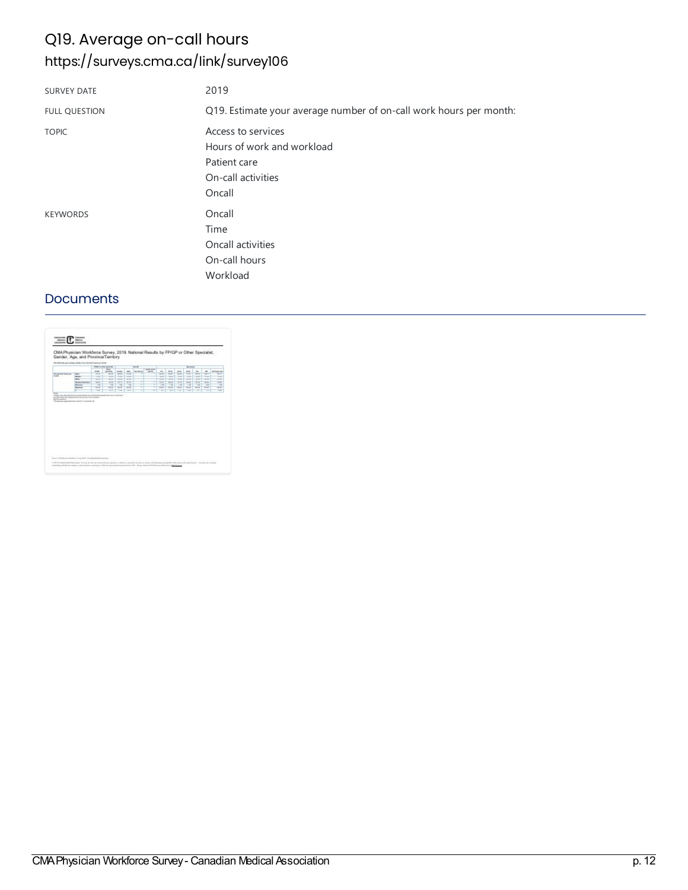# Q19. Average on-call hours <https://surveys.cma.ca/link/survey106>

| <b>SURVEY DATE</b>   | 2019                                                                                             |
|----------------------|--------------------------------------------------------------------------------------------------|
| <b>FULL QUESTION</b> | Q19. Estimate your average number of on-call work hours per month:                               |
| <b>TOPIC</b>         | Access to services<br>Hours of work and workload<br>Patient care<br>On-call activities<br>Oncall |
| <b>KEYWORDS</b>      | Oncall<br>Time<br>Oncall activities<br>On-call hours<br>Workload                                 |

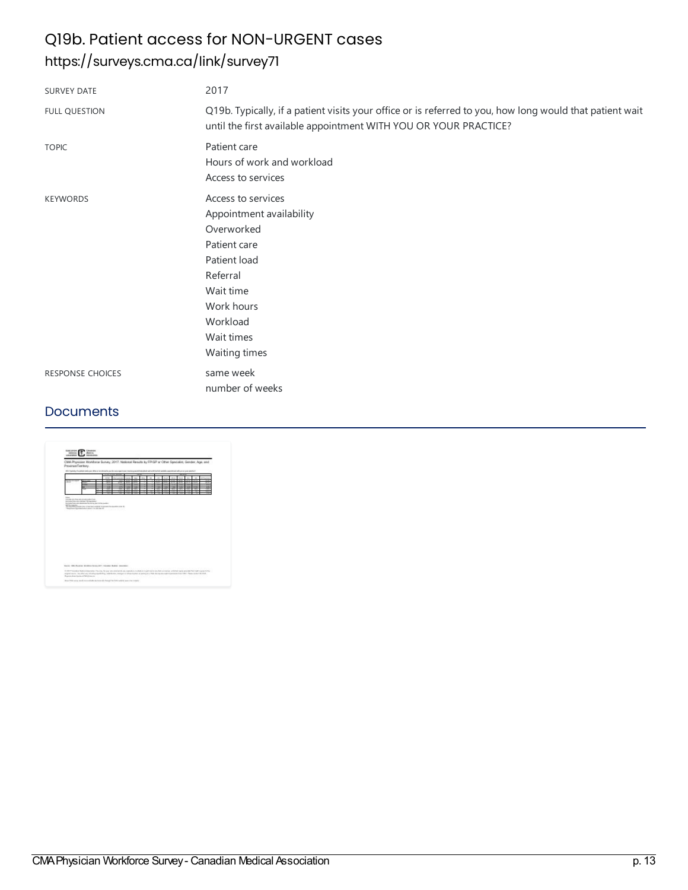# Q19b. Patient access for NON-URGENT cases <https://surveys.cma.ca/link/survey71>

| <b>SURVEY DATE</b>      | 2017                                                                                                                                                                           |
|-------------------------|--------------------------------------------------------------------------------------------------------------------------------------------------------------------------------|
| <b>FULL QUESTION</b>    | Q19b. Typically, if a patient visits your office or is referred to you, how long would that patient wait<br>until the first available appointment WITH YOU OR YOUR PRACTICE?   |
| <b>TOPIC</b>            | Patient care<br>Hours of work and workload<br>Access to services                                                                                                               |
| <b>KEYWORDS</b>         | Access to services<br>Appointment availability<br>Overworked<br>Patient care<br>Patient load<br>Referral<br>Wait time<br>Work hours<br>Workload<br>Wait times<br>Waiting times |
| <b>RESPONSE CHOICES</b> | same week<br>number of weeks                                                                                                                                                   |

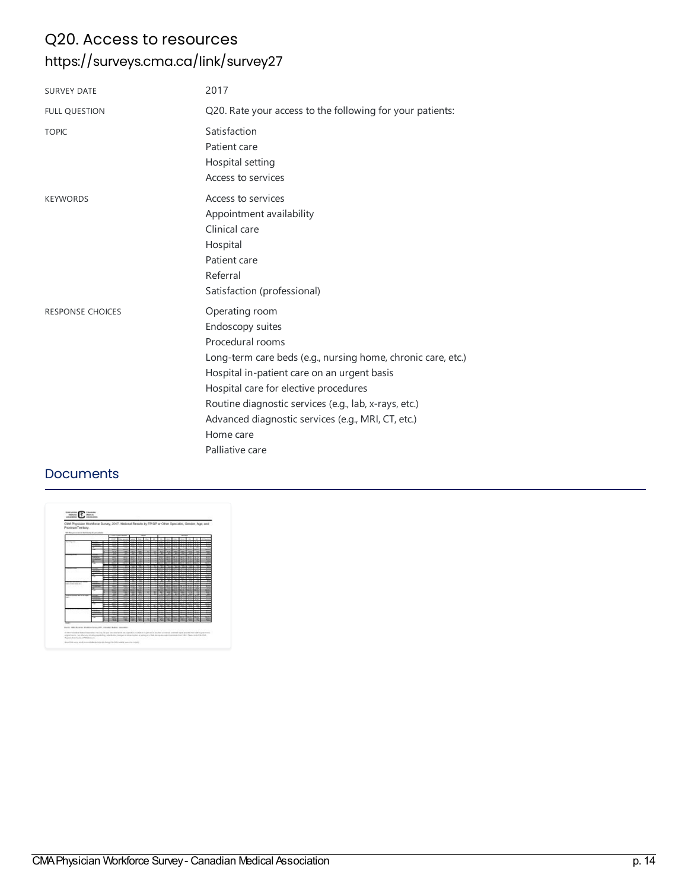## Q20. Access to resources <https://surveys.cma.ca/link/survey27>

| <b>SURVEY DATE</b>      | 2017                                                                                                                                                                                                                                                                                                                                                          |
|-------------------------|---------------------------------------------------------------------------------------------------------------------------------------------------------------------------------------------------------------------------------------------------------------------------------------------------------------------------------------------------------------|
| <b>FULL QUESTION</b>    | Q20. Rate your access to the following for your patients:                                                                                                                                                                                                                                                                                                     |
| <b>TOPIC</b>            | Satisfaction<br>Patient care<br>Hospital setting<br>Access to services                                                                                                                                                                                                                                                                                        |
| <b>KEYWORDS</b>         | Access to services<br>Appointment availability<br>Clinical care<br>Hospital<br>Patient care<br>Referral<br>Satisfaction (professional)                                                                                                                                                                                                                        |
| <b>RESPONSE CHOICES</b> | Operating room<br>Endoscopy suites<br>Procedural rooms<br>Long-term care beds (e.g., nursing home, chronic care, etc.)<br>Hospital in-patient care on an urgent basis<br>Hospital care for elective procedures<br>Routine diagnostic services (e.g., lab, x-rays, etc.)<br>Advanced diagnostic services (e.g., MRI, CT, etc.)<br>Home care<br>Palliative care |

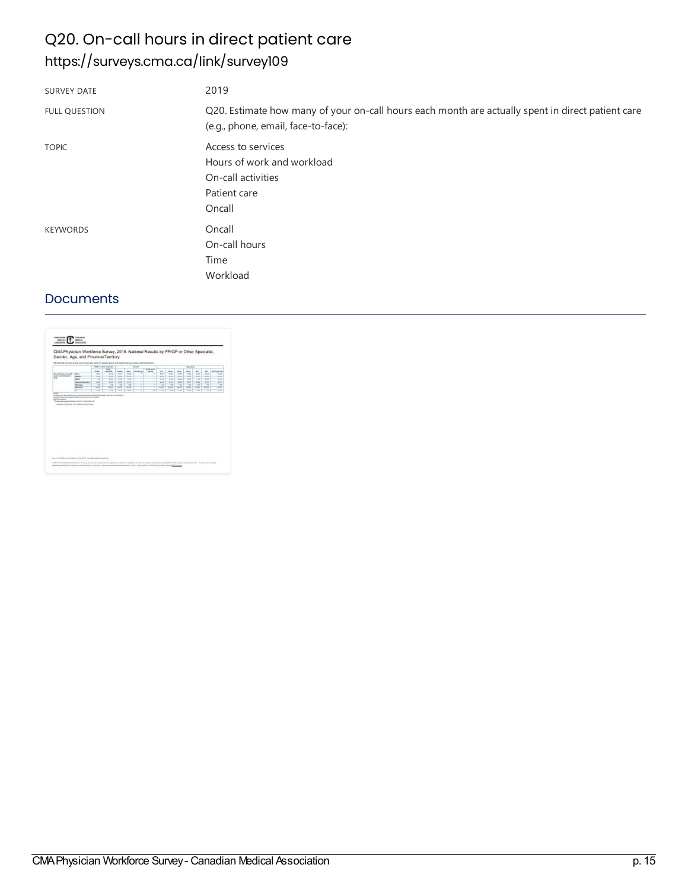# Q20. On-call hours in direct patient care <https://surveys.cma.ca/link/survey109>

| <b>SURVEY DATE</b>   | 2019                                                                                                                                     |
|----------------------|------------------------------------------------------------------------------------------------------------------------------------------|
| <b>FULL QUESTION</b> | Q20. Estimate how many of your on-call hours each month are actually spent in direct patient care<br>(e.g., phone, email, face-to-face): |
| <b>TOPIC</b>         | Access to services<br>Hours of work and workload<br>On-call activities<br>Patient care<br>Oncall                                         |
| <b>KEYWORDS</b>      | Oncall<br>On-call hours<br>Time<br>Workload                                                                                              |